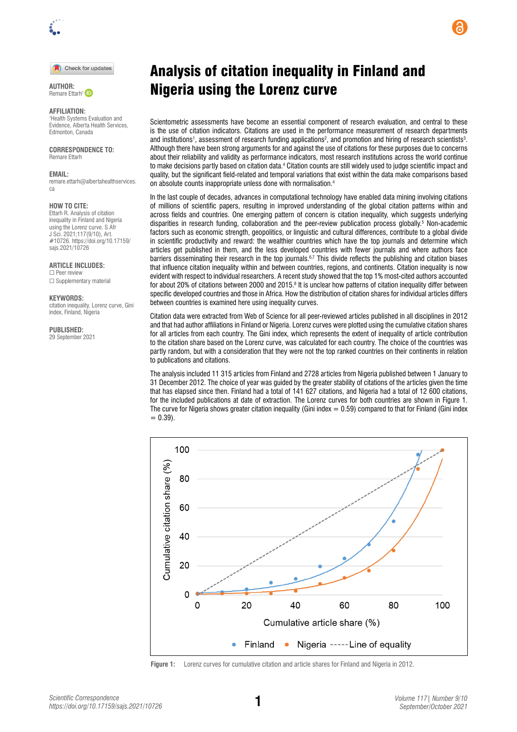

Check for updates

Remare Ettarh<sup>1</sup>

# **AFFILIATION:**

1 Health Systems Evaluation and Evidence, Alberta Health Services, Edmonton, Canada

# **CORRESPONDENCE TO:**  Remare Ettarh

#### **EMAIL:**

[remare.ettarh@albertahealthservices.](mailto:remare.ettarh@albertahealthservices.ca) [ca](mailto:remare.ettarh@albertahealthservices.ca)

#### **HOW TO CITE:**

Ettarh R. Analysis of citation inequality in Finland and Nigeria using the Lorenz curve. S Afr J Sci. 2021;117(9/10), Art. #10726. [https://doi.org/10.17159/](https://doi.org/10.17159/sajs.2021/10726) [sajs.2021/10726](https://doi.org/10.17159/sajs.2021/10726)

**ARTICLE INCLUDES:**

☐ Peer review □ Supplementary material

### **KEYWORDS:**

citation inequality, Lorenz curve, Gini index, Finland, Nigeria

#### **PUBLISHED:**

29 September 2021

# Analysis of citation inequality in Finland and AUTHOR: **Contact Control Control Control Control Control Control Control Control Control Control Control Control Control Control Control Control Control Control Control Control Control Control Control Control Control Con**

Scientometric assessments have become an essential component of research evaluation, and central to these is the use of citation indicators. Citations are used in the performance measurement of research departments and institutions<sup>1</sup>, assessment of research funding applications<sup>2</sup>, and promotion and hiring of research scientists<sup>3</sup>. Although there have been strong arguments for and against the use of citations for these purposes due to concerns about their reliability and validity as performance indicators, most research institutions across the world continue to make decisions partly based on citation data.4 Citation counts are still widely used to judge scientific impact and quality, but the significant field-related and temporal variations that exist within the data make comparisons based on absolute counts inappropriate unless done with normalisation.4

In the last couple of decades, advances in computational technology have enabled data mining involving citations of millions of scientific papers, resulting in improved understanding of the global citation patterns within and across fields and countries. One emerging pattern of concern is citation inequality, which suggests underlying disparities in research funding, collaboration and the peer-review publication process globally.<sup>5</sup> Non-academic factors such as economic strength, geopolitics, or linguistic and cultural differences, contribute to a global divide in scientific productivity and reward: the wealthier countries which have the top journals and determine which articles get published in them, and the less developed countries with fewer journals and where authors face barriers disseminating their research in the top journals.<sup>6,7</sup> This divide reflects the publishing and citation biases that influence citation inequality within and between countries, regions, and continents. Citation inequality is now evident with respect to individual researchers. A recent study showed that the top 1% most-cited authors accounted for about 20% of citations between 2000 and 2015.8 It is unclear how patterns of citation inequality differ between specific developed countries and those in Africa. How the distribution of citation shares for individual articles differs between countries is examined here using inequality curves.

Citation data were extracted from Web of Science for all peer-reviewed articles published in all disciplines in 2012 and that had author affiliations in Finland or Nigeria. Lorenz curves were plotted using the cumulative citation shares for all articles from each country. The Gini index, which represents the extent of inequality of article contribution to the citation share based on the Lorenz curve, was calculated for each country. The choice of the countries was partly random, but with a consideration that they were not the top ranked countries on their continents in relation to publications and citations.

The analysis included 11 315 articles from Finland and 2728 articles from Nigeria published between 1 January to 31 December 2012. The choice of year was guided by the greater stability of citations of the articles given the time that has elapsed since then. Finland had a total of 141 627 citations, and Nigeria had a total of 12 600 citations, for the included publications at date of extraction. The Lorenz curves for both countries are shown in Figure 1. The curve for Nigeria shows greater citation inequality (Gini index  $= 0.59$ ) compared to that for Finland (Gini index  $= 0.39$ ).



**Figure 1:** Lorenz curves for cumulative citation and article shares for Finland and Nigeria in 2012.